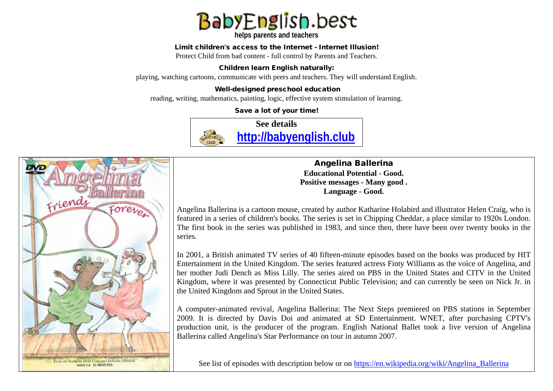

**helps parents and teachers** 

#### Limit children's access to the Internet - Internet Illusion!

Protect Child from bad content - full control by Parents and Teachers.

### Children learn English naturally:

playing, watching cartoons, communicate with peers and teachers. They will understand English.

### Well-designed preschool education

reading, writing, mathematics, painting, logic, effective system stimulation of learning.

Save a lot of your time!





Angelina Ballerina **Educational Potential - Good. Positive messages - Many good . Language - Good.**

Angelina Ballerina is a cartoon mouse, created by author Katharine Holabird and illustrator Helen Craig, who is featured in a series of children's books. The series is set in Chipping Cheddar, a place similar to 1920s London. The first book in the series was published in 1983, and since then, there have been over twenty books in the series.

In 2001, a British animated TV series of 40 fifteen-minute episodes based on the books was produced by HIT Entertainment in the United Kingdom. The series featured actress Finty Williams as the voice of Angelina, and her mother Judi Dench as Miss Lilly. The series aired on PBS in the United States and CITV in the United Kingdom, where it was presented by Connecticut Public Television; and can currently be seen on Nick Jr. in the United Kingdom and Sprout in the United States.

A computer-animated revival, Angelina Ballerina: The Next Steps premiered on PBS stations in September 2009. It is directed by Davis Doi and animated at SD Entertainment. WNET, after purchasing CPTV's production unit, is the producer of the program. English National Ballet took a live version of Angelina Ballerina called Angelina's Star Performance on tour in autumn 2007.

See list of episodes with description below or on https://en.wikipedia.org/wiki/Angelina Ballerina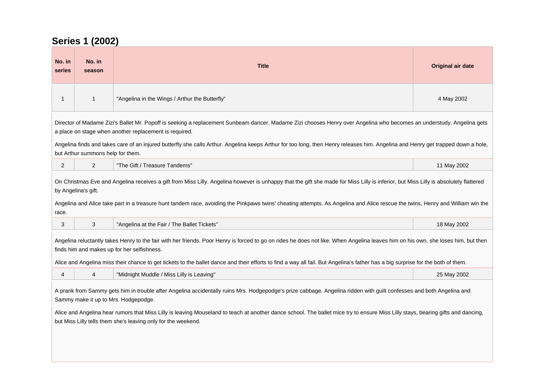# **Series 1 (2002)**

| No. in<br>series                                                                                                                                                                                                                                                                                                                                                                                                                                                  | No. in<br>season                  | <b>Title</b>                                                                                                                                                                     | Original air date |
|-------------------------------------------------------------------------------------------------------------------------------------------------------------------------------------------------------------------------------------------------------------------------------------------------------------------------------------------------------------------------------------------------------------------------------------------------------------------|-----------------------------------|----------------------------------------------------------------------------------------------------------------------------------------------------------------------------------|-------------------|
| $\overline{1}$                                                                                                                                                                                                                                                                                                                                                                                                                                                    | $\mathbf{1}$                      | "Angelina in the Wings / Arthur the Butterfly"                                                                                                                                   | 4 May 2002        |
| Director of Madame Zizi's Ballet Mr. Popoff is seeking a replacement Sunbeam dancer. Madame Zizi chooses Henry over Angelina who becomes an understudy. Angelina gets<br>a place on stage when another replacement is required.                                                                                                                                                                                                                                   |                                   |                                                                                                                                                                                  |                   |
|                                                                                                                                                                                                                                                                                                                                                                                                                                                                   | but Arthur summons help for them. | Angelina finds and takes care of an injured butterfly she calls Arthur. Angelina keeps Arthur for too long, then Henry releases him. Angelina and Henry get trapped down a hole, |                   |
| 2                                                                                                                                                                                                                                                                                                                                                                                                                                                                 | 2                                 | "The Gift / Treasure Tandems"                                                                                                                                                    | 11 May 2002       |
| On Christmas Eve and Angelina receives a gift from Miss Lilly. Angelina however is unhappy that the gift she made for Miss Lilly is inferior, but Miss Lilly is absolutely flattered<br>by Angelina's gift.<br>Angelina and Alice take part in a treasure hunt tandem race, avoiding the Pinkpaws twins' cheating attempts. As Angelina and Alice rescue the twins, Henry and William win the<br>race.                                                            |                                   |                                                                                                                                                                                  |                   |
| 3                                                                                                                                                                                                                                                                                                                                                                                                                                                                 | 3                                 | "Angelina at the Fair / The Ballet Tickets"                                                                                                                                      | 18 May 2002       |
| Angelina reluctantly takes Henry to the fair with her friends. Poor Henry is forced to go on rides he does not like. When Angelina leaves him on his own, she loses him, but then<br>finds him and makes up for her selfishness.<br>Alice and Angelina miss their chance to get tickets to the ballet dance and their efforts to find a way all fail. But Angelina's father has a big surprise for the both of them.                                              |                                   |                                                                                                                                                                                  |                   |
| $\overline{4}$                                                                                                                                                                                                                                                                                                                                                                                                                                                    | $\overline{4}$                    | "Midnight Muddle / Miss Lilly is Leaving"                                                                                                                                        | 25 May 2002       |
| A prank from Sammy gets him in trouble after Angelina accidentally ruins Mrs. Hodgepodge's prize cabbage. Angelina ridden with guilt confesses and both Angelina and<br>Sammy make it up to Mrs. Hodgepodge.<br>Alice and Angelina hear rumors that Miss Lilly is leaving Mouseland to teach at another dance school. The ballet mice try to ensure Miss Lilly stays, bearing gifts and dancing,<br>but Miss Lilly tells them she's leaving only for the weekend. |                                   |                                                                                                                                                                                  |                   |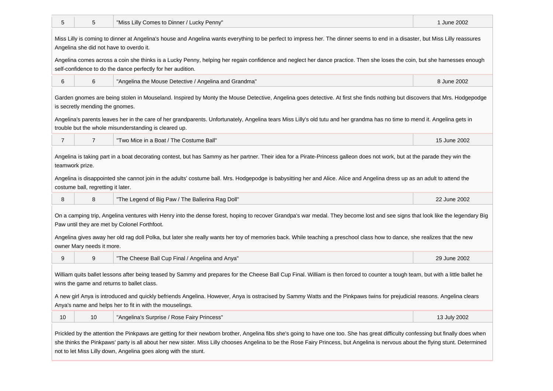| 5                                                                                                                                                                                                                                                                                                                                                                                                                                          | 5                                  | "Miss Lilly Comes to Dinner / Lucky Penny"                                                                                                                                                                                           | 1 June 2002  |
|--------------------------------------------------------------------------------------------------------------------------------------------------------------------------------------------------------------------------------------------------------------------------------------------------------------------------------------------------------------------------------------------------------------------------------------------|------------------------------------|--------------------------------------------------------------------------------------------------------------------------------------------------------------------------------------------------------------------------------------|--------------|
| Miss Lilly is coming to dinner at Angelina's house and Angelina wants everything to be perfect to impress her. The dinner seems to end in a disaster, but Miss Lilly reassures<br>Angelina she did not have to overdo it.                                                                                                                                                                                                                  |                                    |                                                                                                                                                                                                                                      |              |
| Angelina comes across a coin she thinks is a Lucky Penny, helping her regain confidence and neglect her dance practice. Then she loses the coin, but she harnesses enough<br>self-confidence to do the dance perfectly for her audition.                                                                                                                                                                                                   |                                    |                                                                                                                                                                                                                                      |              |
| 6                                                                                                                                                                                                                                                                                                                                                                                                                                          | 6                                  | "Angelina the Mouse Detective / Angelina and Grandma"                                                                                                                                                                                | 8 June 2002  |
| Garden gnomes are being stolen in Mouseland. Inspired by Monty the Mouse Detective, Angelina goes detective. At first she finds nothing but discovers that Mrs. Hodgepodge<br>is secretly mending the gnomes.                                                                                                                                                                                                                              |                                    |                                                                                                                                                                                                                                      |              |
|                                                                                                                                                                                                                                                                                                                                                                                                                                            |                                    | Angelina's parents leaves her in the care of her grandparents. Unfortunately, Angelina tears Miss Lilly's old tutu and her grandma has no time to mend it. Angelina gets in<br>trouble but the whole misunderstanding is cleared up. |              |
| $\overline{7}$                                                                                                                                                                                                                                                                                                                                                                                                                             | $\overline{7}$                     | "Two Mice in a Boat / The Costume Ball"                                                                                                                                                                                              | 15 June 2002 |
| Angelina is taking part in a boat decorating contest, but has Sammy as her partner. Their idea for a Pirate-Princess galleon does not work, but at the parade they win the<br>teamwork prize.                                                                                                                                                                                                                                              |                                    |                                                                                                                                                                                                                                      |              |
|                                                                                                                                                                                                                                                                                                                                                                                                                                            | costume ball, regretting it later. | Angelina is disappointed she cannot join in the adults' costume ball. Mrs. Hodgepodge is babysitting her and Alice. Alice and Angelina dress up as an adult to attend the                                                            |              |
| 8                                                                                                                                                                                                                                                                                                                                                                                                                                          | 8                                  | "The Legend of Big Paw / The Ballerina Rag Doll"                                                                                                                                                                                     | 22 June 2002 |
| On a camping trip, Angelina ventures with Henry into the dense forest, hoping to recover Grandpa's war medal. They become lost and see signs that look like the legendary Big<br>Paw until they are met by Colonel Forthfoot.                                                                                                                                                                                                              |                                    |                                                                                                                                                                                                                                      |              |
| Angelina gives away her old rag doll Polka, but later she really wants her toy of memories back. While teaching a preschool class how to dance, she realizes that the new<br>owner Mary needs it more.                                                                                                                                                                                                                                     |                                    |                                                                                                                                                                                                                                      |              |
| 9                                                                                                                                                                                                                                                                                                                                                                                                                                          | 9                                  | "The Cheese Ball Cup Final / Angelina and Anya"                                                                                                                                                                                      | 29 June 2002 |
| William quits ballet lessons after being teased by Sammy and prepares for the Cheese Ball Cup Final. William is then forced to counter a tough team, but with a little ballet he<br>wins the game and returns to ballet class.                                                                                                                                                                                                             |                                    |                                                                                                                                                                                                                                      |              |
| A new girl Anya is introduced and quickly befriends Angelina. However, Anya is ostracised by Sammy Watts and the Pinkpaws twins for prejudicial reasons. Angelina clears<br>Anya's name and helps her to fit in with the mouselings.                                                                                                                                                                                                       |                                    |                                                                                                                                                                                                                                      |              |
| 10                                                                                                                                                                                                                                                                                                                                                                                                                                         | 10                                 | "Angelina's Surprise / Rose Fairy Princess"                                                                                                                                                                                          | 13 July 2002 |
| Prickled by the attention the Pinkpaws are getting for their newborn brother, Angelina fibs she's going to have one too. She has great difficulty confessing but finally does when<br>she thinks the Pinkpaws' party is all about her new sister. Miss Lilly chooses Angelina to be the Rose Fairy Princess, but Angelina is nervous about the flying stunt. Determined<br>not to let Miss Lilly down, Angelina goes along with the stunt. |                                    |                                                                                                                                                                                                                                      |              |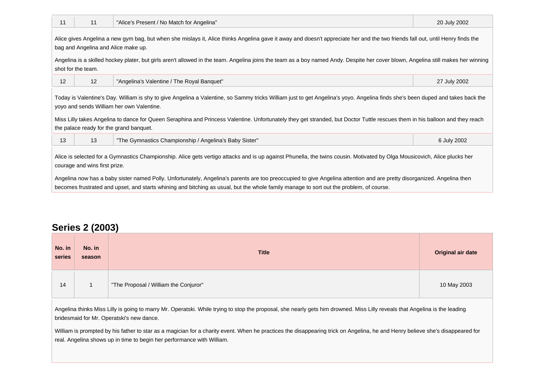| 11                                                                                                                                                                                                                                                                                                                                                                                                                                                                                                                               | 11 | "Alice's Present / No Match for Angelina"              | 20 July 2002 |
|----------------------------------------------------------------------------------------------------------------------------------------------------------------------------------------------------------------------------------------------------------------------------------------------------------------------------------------------------------------------------------------------------------------------------------------------------------------------------------------------------------------------------------|----|--------------------------------------------------------|--------------|
| Alice gives Angelina a new gym bag, but when she mislays it, Alice thinks Angelina gave it away and doesn't appreciate her and the two friends fall out, until Henry finds the<br>bag and Angelina and Alice make up.<br>Angelina is a skilled hockey plater, but girls aren't allowed in the team. Angelina joins the team as a boy named Andy. Despite her cover blown, Angelina still makes her winning<br>shot for the team.                                                                                                 |    |                                                        |              |
| 12                                                                                                                                                                                                                                                                                                                                                                                                                                                                                                                               | 12 | "Angelina's Valentine / The Royal Banquet"             | 27 July 2002 |
| Today is Valentine's Day. William is shy to give Angelina a Valentine, so Sammy tricks William just to get Angelina's yoyo. Angelina finds she's been duped and takes back the<br>yoyo and sends William her own Valentine.<br>Miss Lilly takes Angelina to dance for Queen Seraphina and Princess Valentine. Unfortunately they get stranded, but Doctor Tuttle rescues them in his balloon and they reach<br>the palace ready for the grand banquet.                                                                           |    |                                                        |              |
| 13                                                                                                                                                                                                                                                                                                                                                                                                                                                                                                                               | 13 | "The Gymnastics Championship / Angelina's Baby Sister" | 6 July 2002  |
| Alice is selected for a Gymnastics Championship. Alice gets vertigo attacks and is up against Phunella, the twins cousin. Motivated by Olga Mousicovich, Alice plucks her<br>courage and wins first prize.<br>Angelina now has a baby sister named Polly. Unfortunately, Angelina's parents are too preoccupied to give Angelina attention and are pretty disorganized. Angelina then<br>becomes frustrated and upset, and starts whining and bitching as usual, but the whole family manage to sort out the problem, of course. |    |                                                        |              |

## **Series 2 (2003)**

 $\mathbb{R}^n$ 

| No. in<br>series | No. in<br>season | <b>Title</b>                          | Original air date |
|------------------|------------------|---------------------------------------|-------------------|
| 14               |                  | "The Proposal / William the Conjuror" | 10 May 2003       |

Angelina thinks Miss Lilly is going to marry Mr. Operatski. While trying to stop the proposal, she nearly gets him drowned. Miss Lilly reveals that Angelina is the leading bridesmaid for Mr. Operatski's new dance.

William is prompted by his father to star as a magician for a charity event. When he practices the disappearing trick on Angelina, he and Henry believe she's disappeared for real. Angelina shows up in time to begin her performance with William.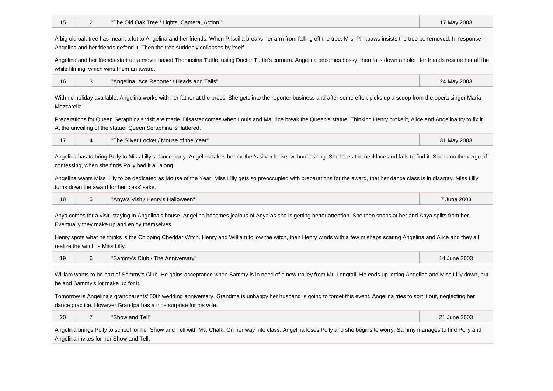| 15                                                                                                                                                                                                                                                                 | 2              | "The Old Oak Tree / Lights, Camera, Action!" | 17 May 2003  |
|--------------------------------------------------------------------------------------------------------------------------------------------------------------------------------------------------------------------------------------------------------------------|----------------|----------------------------------------------|--------------|
| A big old oak tree has meant a lot to Angelina and her friends. When Priscilla breaks her arm from falling off the tree, Mrs. Pinkpaws insists the tree be removed. In response<br>Angelina and her friends defend it. Then the tree suddenly collapses by itself. |                |                                              |              |
| Angelina and her friends start up a movie based Thomasina Tuttle, using Doctor Tuttle's camera. Angelina becomes bossy, then falls down a hole. Her friends rescue her all the<br>while filming, which wins them an award.                                         |                |                                              |              |
| 16                                                                                                                                                                                                                                                                 | 3              | "Angelina, Ace Reporter / Heads and Tails"   | 24 May 2003  |
| With no holiday available, Angelina works with her father at the press. She gets into the reporter business and after some effort picks up a scoop from the opera singer Maria<br>Mozzarella.                                                                      |                |                                              |              |
| Preparations for Queen Seraphina's visit are made. Disaster comes when Louis and Maurice break the Queen's statue. Thinking Henry broke it, Alice and Angelina try to fix it.<br>At the unveiling of the statue, Queen Seraphina is flattered.                     |                |                                              |              |
| 17                                                                                                                                                                                                                                                                 | 4              | "The Silver Locket / Mouse of the Year"      | 31 May 2003  |
| Angelina has to bring Polly to Miss Lilly's dance party. Angelina takes her mother's silver locket without asking. She loses the necklace and fails to find it. She is on the verge of<br>confessing, when she finds Polly had it all along.                       |                |                                              |              |
| Angelina wants Miss Lilly to be dedicated as Mouse of the Year. Miss Lilly gets so preoccupied with preparations for the award, that her dance class is in disarray. Miss Lilly<br>turns down the award for her class' sake.                                       |                |                                              |              |
| 18                                                                                                                                                                                                                                                                 | 5              | "Anya's Visit / Henry's Halloween"           | 7 June 2003  |
| Anya comes for a visit, staying in Angelina's house. Angelina becomes jealous of Anya as she is getting better attention. She then snaps at her and Anya splits from her.<br>Eventually they make up and enjoy themselves.                                         |                |                                              |              |
| Henry spots what he thinks is the Chipping Cheddar Witch. Henry and William follow the witch, then Henry winds with a few mishaps scaring Angelina and Alice and they all<br>realize the witch is Miss Lilly.                                                      |                |                                              |              |
| 19                                                                                                                                                                                                                                                                 | 6              | "Sammy's Club / The Anniversary"             | 14 June 2003 |
| William wants to be part of Sammy's Club. He gains acceptance when Sammy is in need of a new trolley from Mr. Longtail. He ends up letting Angelina and Miss Lilly down, but<br>he and Sammy's lot make up for it.                                                 |                |                                              |              |
| Tomorrow is Angelina's grandparents' 50th wedding anniversary. Grandma is unhappy her husband is going to forget this event. Angelina tries to sort it out, neglecting her<br>dance practice. However Grandpa has a nice surprise for his wife.                    |                |                                              |              |
| 20                                                                                                                                                                                                                                                                 | $\overline{7}$ | "Show and Tell"                              | 21 June 2003 |
| Angelina brings Polly to school for her Show and Tell with Ms. Chalk. On her way into class, Angelina loses Polly and she begins to worry. Sammy manages to find Polly and<br>Angelina invites for her Show and Tell.                                              |                |                                              |              |